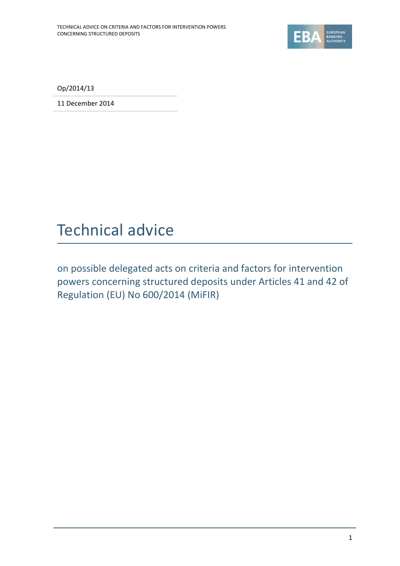

Op/2014/13

11 December 2014

# Technical advice

on possible delegated acts on criteria and factors for intervention powers concerning structured deposits under Articles 41 and 42 of Regulation (EU) No 600/2014 (MiFIR)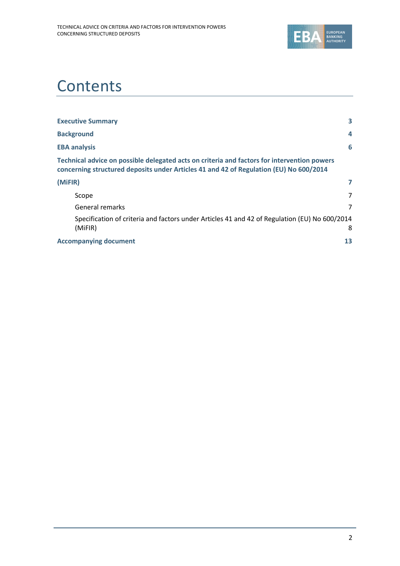

# **Contents**

| <b>Executive Summary</b>                                                                                                                                                              | 3  |
|---------------------------------------------------------------------------------------------------------------------------------------------------------------------------------------|----|
| <b>Background</b>                                                                                                                                                                     | 4  |
| <b>EBA analysis</b>                                                                                                                                                                   | 6  |
| Technical advice on possible delegated acts on criteria and factors for intervention powers<br>concerning structured deposits under Articles 41 and 42 of Regulation (EU) No 600/2014 |    |
| (MiFIR)                                                                                                                                                                               |    |
| Scope                                                                                                                                                                                 | 7  |
| General remarks                                                                                                                                                                       | 7  |
| Specification of criteria and factors under Articles 41 and 42 of Regulation (EU) No 600/2014<br>(MiFIR)                                                                              | 8  |
| <b>Accompanying document</b>                                                                                                                                                          | 13 |
|                                                                                                                                                                                       |    |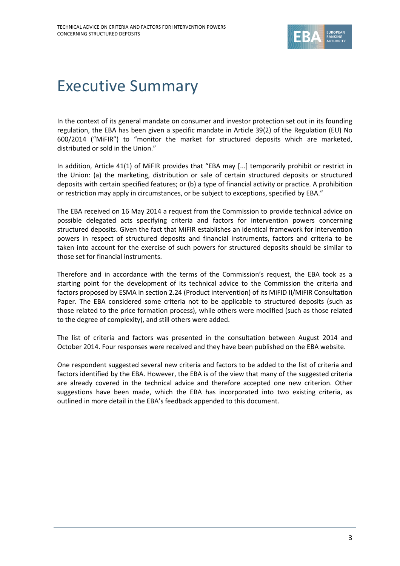

### Executive Summary

In the context of its general mandate on consumer and investor protection set out in its founding regulation, the EBA has been given a specific mandate in Article 39(2) of the Regulation (EU) No 600/2014 ("MiFIR") to "monitor the market for structured deposits which are marketed, distributed or sold in the Union."

In addition, Article 41(1) of MiFIR provides that "EBA may [...] temporarily prohibit or restrict in the Union: (a) the marketing, distribution or sale of certain structured deposits or structured deposits with certain specified features; or (b) a type of financial activity or practice. A prohibition or restriction may apply in circumstances, or be subject to exceptions, specified by EBA."

The EBA received on 16 May 2014 a request from the Commission to provide technical advice on possible delegated acts specifying criteria and factors for intervention powers concerning structured deposits. Given the fact that MiFIR establishes an identical framework for intervention powers in respect of structured deposits and financial instruments, factors and criteria to be taken into account for the exercise of such powers for structured deposits should be similar to those set for financial instruments.

Therefore and in accordance with the terms of the Commission's request, the EBA took as a starting point for the development of its technical advice to the Commission the criteria and factors proposed by ESMA in section 2.24 (Product intervention) of its MiFID II/MiFIR Consultation Paper. The EBA considered some criteria not to be applicable to structured deposits (such as those related to the price formation process), while others were modified (such as those related to the degree of complexity), and still others were added.

The list of criteria and factors was presented in the consultation between August 2014 and October 2014. Four responses were received and they have been published on the EBA website.

One respondent suggested several new criteria and factors to be added to the list of criteria and factors identified by the EBA. However, the EBA is of the view that many of the suggested criteria are already covered in the technical advice and therefore accepted one new criterion. Other suggestions have been made, which the EBA has incorporated into two existing criteria, as outlined in more detail in the EBA's feedback appended to this document.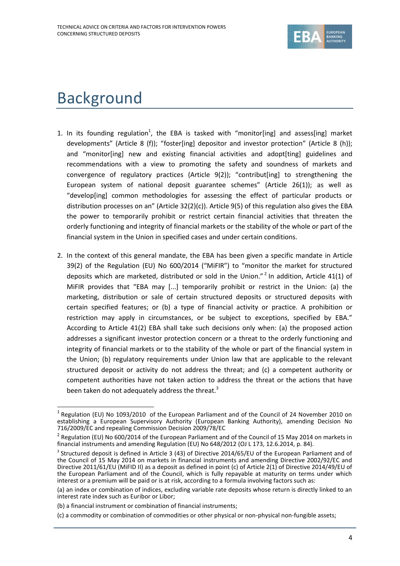

## Background

f

- 1. In its founding regulation<sup>1</sup>, the EBA is tasked with "monitor[ing] and assess[ing] market developments" (Article 8 (f)); "foster[ing] depositor and investor protection" (Article 8 (h)); and "monitor[ing] new and existing financial activities and adopt[ting] guidelines and recommendations with a view to promoting the safety and soundness of markets and convergence of regulatory practices (Article 9(2)); "contribut[ing] to strengthening the European system of national deposit guarantee schemes" (Article 26(1)); as well as "develop[ing] common methodologies for assessing the effect of particular products or distribution processes on an" (Article 32(2)(c)). Article 9(5) of this regulation also gives the EBA the power to temporarily prohibit or restrict certain financial activities that threaten the orderly functioning and integrity of financial markets or the stability of the whole or part of the financial system in the Union in specified cases and under certain conditions.
- 2. In the context of this general mandate, the EBA has been given a specific mandate in Article 39(2) of the Regulation (EU) No 600/2014 ("MiFIR") to "monitor the market for structured deposits which are marketed, distributed or sold in the Union."<sup>2</sup> In addition, Article 41(1) of MiFIR provides that "EBA may [...] temporarily prohibit or restrict in the Union: (a) the marketing, distribution or sale of certain structured deposits or structured deposits with certain specified features; or (b) a type of financial activity or practice. A prohibition or restriction may apply in circumstances, or be subject to exceptions, specified by EBA." According to Article 41(2) EBA shall take such decisions only when: (a) the proposed action addresses a significant investor protection concern or a threat to the orderly functioning and integrity of financial markets or to the stability of the whole or part of the financial system in the Union; (b) regulatory requirements under Union law that are applicable to the relevant structured deposit or activity do not address the threat; and (c) a competent authority or competent authorities have not taken action to address the threat or the actions that have been taken do not adequately address the threat.<sup>3</sup>

<sup>&</sup>lt;sup>1</sup> Regulation (EU) No 1093/2010 of the European Parliament and of the Council of 24 November 2010 on establishing a European Supervisory Authority (European Banking Authority), amending Decision No 716/2009/EC and repealing Commission Decision 2009/78/EC

<sup>&</sup>lt;sup>2</sup> Regulation (EU) No 600/2014 of the European Parliament and of the Council of 15 May 2014 on markets in financial instruments and amending Regulation (EU) No 648/2012 (OJ L 173, 12.6.2014, p. 84).

 $3$  Structured deposit is defined in Article 3 (43) of Directive 2014/65/EU of the European Parliament and of the Council of 15 May 2014 on markets in financial instruments and amending Directive 2002/92/EC and Directive 2011/61/EU (MiFID II) as a deposit as defined in point (c) of Article 2(1) of Directive 2014/49/EU of the European Parliament and of the Council, which is fully repayable at maturity on terms under which interest or a premium will be paid or is at risk, according to a formula involving factors such as:

<sup>(</sup>a) an index or combination of indices, excluding variable rate deposits whose return is directly linked to an interest rate index such as Euribor or Libor;

<sup>(</sup>b) a financial instrument or combination of financial instruments;

<sup>(</sup>c) a commodity or combination of commodities or other physical or non-physical non-fungible assets;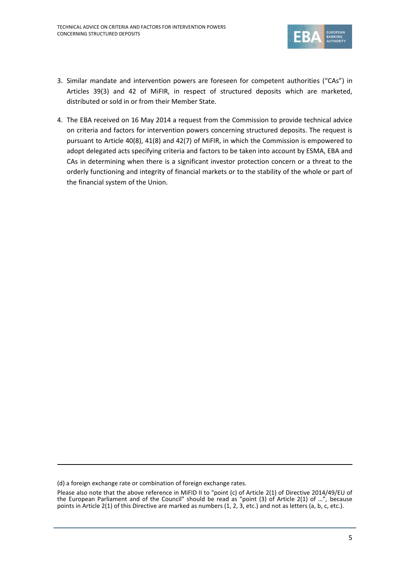

- 3. Similar mandate and intervention powers are foreseen for competent authorities ("CAs") in Articles 39(3) and 42 of MiFIR, in respect of structured deposits which are marketed, distributed or sold in or from their Member State.
- 4. The EBA received on 16 May 2014 a request from the Commission to provide technical advice on criteria and factors for intervention powers concerning structured deposits. The request is pursuant to Article 40(8), 41(8) and 42(7) of MiFIR, in which the Commission is empowered to adopt delegated acts specifying criteria and factors to be taken into account by ESMA, ЕВА and CAs in determining when there is a significant investor protection concern or a threat to the orderly functioning and integrity of financial markets or to the stability of the whole or part of the financial system of the Union.

-

<sup>(</sup>d) a foreign exchange rate or combination of foreign exchange rates.

Please also note that the above reference in MiFID II to "point (c) of Article 2(1) of Directive 2014/49/EU of the European Parliament and of the Council" should be read as "point (3) of Article 2(1) of …", because points in Article 2(1) of this Directive are marked as numbers (1, 2, 3, etc.) and not as letters (a, b, c, etc.).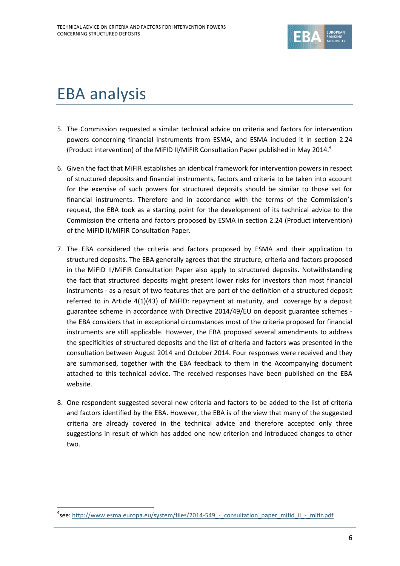

## EBA analysis

1

- 5. The Commission requested a similar technical advice on criteria and factors for intervention powers concerning financial instruments from ESMA, and ESMA included it in section 2.24 (Product intervention) of the MiFID II/MiFIR Consultation Paper published in May 2014.<sup>4</sup>
- 6. Given the fact that MiFIR establishes an identical framework for intervention powers in respect of structured deposits and financial instruments, factors and criteria to be taken into account for the exercise of such powers for structured deposits should be similar to those set for financial instruments. Therefore and in accordance with the terms of the Commission's request, the EBA took as a starting point for the development of its technical advice to the Commission the criteria and factors proposed by ESMA in section 2.24 (Product intervention) of the MiFID II/MiFIR Consultation Paper.
- 7. The EBA considered the criteria and factors proposed by ESMA and their application to structured deposits. The EBA generally agrees that the structure, criteria and factors proposed in the MiFID II/MiFIR Consultation Paper also apply to structured deposits. Notwithstanding the fact that structured deposits might present lower risks for investors than most financial instruments - as a result of two features that are part of the definition of a structured deposit referred to in Article 4(1)(43) of MiFID: repayment at maturity, and coverage by a deposit guarantee scheme in accordance with Directive 2014/49/EU on deposit guarantee schemes the EBA considers that in exceptional circumstances most of the criteria proposed for financial instruments are still applicable. However, the EBA proposed several amendments to address the specificities of structured deposits and the list of criteria and factors was presented in the consultation between August 2014 and October 2014. Four responses were received and they are summarised, together with the EBA feedback to them in the Accompanying document attached to this technical advice. The received responses have been published on the EBA website.
- 8. One respondent suggested several new criteria and factors to be added to the list of criteria and factors identified by the EBA. However, the EBA is of the view that many of the suggested criteria are already covered in the technical advice and therefore accepted only three suggestions in result of which has added one new criterion and introduced changes to other two.

<sup>&</sup>lt;sup>4</sup>see: http://www.esma.europa.eu/system/files/2014-549 - consultation paper\_mifid\_ii\_-\_mifir.pdf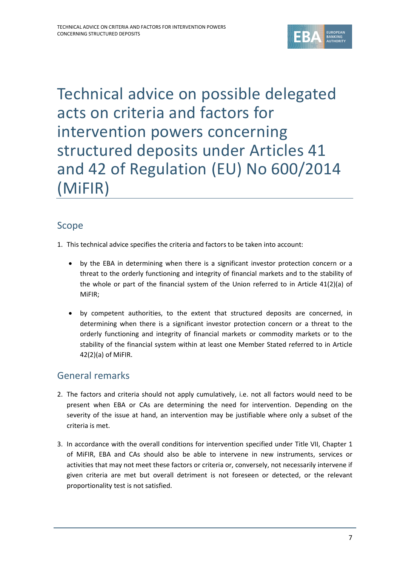

Technical advice on possible delegated acts on criteria and factors for intervention powers concerning structured deposits under Articles 41 and 42 of Regulation (EU) No 600/2014 (MiFIR)

#### Scope

- 1. This technical advice specifies the criteria and factors to be taken into account:
	- by the EBA in determining when there is a significant investor protection concern or a threat to the orderly functioning and integrity of financial markets and to the stability of the whole or part of the financial system of the Union referred to in Article 41(2)(a) of MiFIR;
	- by competent authorities, to the extent that structured deposits are concerned, in determining when there is a significant investor protection concern or a threat to the orderly functioning and integrity of financial markets or commodity markets or to the stability of the financial system within at least one Member Stated referred to in Article 42(2)(a) of MiFIR.

#### General remarks

- 2. The factors and criteria should not apply cumulatively, i.e. not all factors would need to be present when EBA or CAs are determining the need for intervention. Depending on the severity of the issue at hand, an intervention may be justifiable where only a subset of the criteria is met.
- 3. In accordance with the overall conditions for intervention specified under Title VII, Chapter 1 of MiFIR, EBA and CAs should also be able to intervene in new instruments, services or activities that may not meet these factors or criteria or, conversely, not necessarily intervene if given criteria are met but overall detriment is not foreseen or detected, or the relevant proportionality test is not satisfied.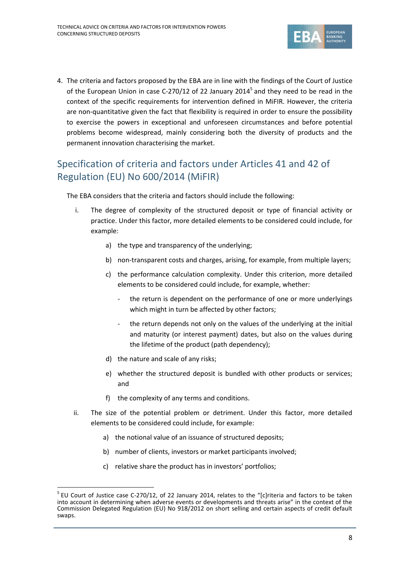

4. The criteria and factors proposed by the EBA are in line with the findings of the Court of Justice of the European Union in case C-270/12 of 22 January 2014<sup>5</sup> and they need to be read in the context of the specific requirements for intervention defined in MiFIR. However, the criteria are non-quantitative given the fact that flexibility is required in order to ensure the possibility to exercise the powers in exceptional and unforeseen circumstances and before potential problems become widespread, mainly considering both the diversity of products and the permanent innovation characterising the market.

#### Specification of criteria and factors under Articles 41 and 42 of Regulation (EU) No 600/2014 (MiFIR)

The EBA considers that the criteria and factors should include the following:

- i. The degree of complexity of the structured deposit or type of financial activity or practice. Under this factor, more detailed elements to be considered could include, for example:
	- a) the type and transparency of the underlying;
	- b) non-transparent costs and charges, arising, for example, from multiple layers;
	- c) the performance calculation complexity. Under this criterion, more detailed elements to be considered could include, for example, whether:
		- the return is dependent on the performance of one or more underlyings which might in turn be affected by other factors;
		- the return depends not only on the values of the underlying at the initial and maturity (or interest payment) dates, but also on the values during the lifetime of the product (path dependency);
	- d) the nature and scale of any risks;

1

- e) whether the structured deposit is bundled with other products or services; and
- f) the complexity of any terms and conditions.
- ii. The size of the potential problem or detriment. Under this factor, more detailed elements to be considered could include, for example:
	- a) the notional value of an issuance of structured deposits;
	- b) number of clients, investors or market participants involved;
	- c) relative share the product has in investors' portfolios;

<sup>&</sup>lt;sup>5</sup> EU Court of Justice case C-270/12, of 22 January 2014, relates to the "[c]riteria and factors to be taken into account in determining when adverse events or developments and threats arise" in the context of the Commission Delegated Regulation (EU) No 918/2012 on short selling and certain aspects of credit default swaps.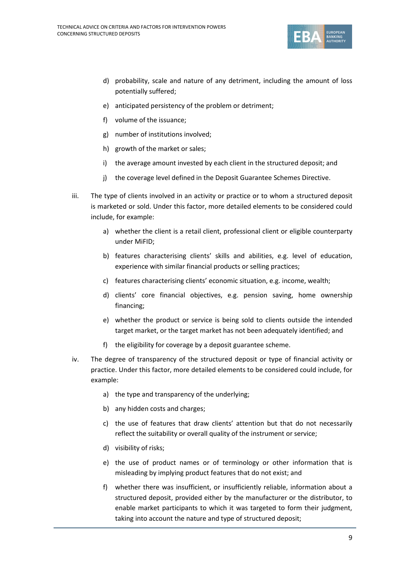

- d) probability, scale and nature of any detriment, including the amount of loss potentially suffered;
- e) anticipated persistency of the problem or detriment;
- f) volume of the issuance;
- g) number of institutions involved;
- h) growth of the market or sales;
- i) the average amount invested by each client in the structured deposit; and
- j) the coverage level defined in the Deposit Guarantee Schemes Directive.
- iii. The type of clients involved in an activity or practice or to whom a structured deposit is marketed or sold. Under this factor, more detailed elements to be considered could include, for example:
	- a) whether the client is a retail client, professional client or eligible counterparty under MiFID;
	- b) features characterising clients' skills and abilities, e.g. level of education, experience with similar financial products or selling practices;
	- c) features characterising clients' economic situation, e.g. income, wealth;
	- d) clients' core financial objectives, e.g. pension saving, home ownership financing;
	- e) whether the product or service is being sold to clients outside the intended target market, or the target market has not been adequately identified; and
	- f) the eligibility for coverage by a deposit guarantee scheme.
- iv. The degree of transparency of the structured deposit or type of financial activity or practice. Under this factor, more detailed elements to be considered could include, for example:
	- a) the type and transparency of the underlying;
	- b) any hidden costs and charges;
	- c) the use of features that draw clients' attention but that do not necessarily reflect the suitability or overall quality of the instrument or service;
	- d) visibility of risks;
	- e) the use of product names or of terminology or other information that is misleading by implying product features that do not exist; and
	- f) whether there was insufficient, or insufficiently reliable, information about a structured deposit, provided either by the manufacturer or the distributor, to enable market participants to which it was targeted to form their judgment, taking into account the nature and type of structured deposit;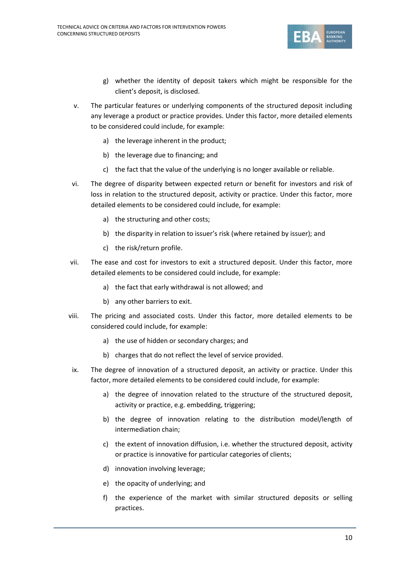

- g) whether the identity of deposit takers which might be responsible for the client's deposit, is disclosed.
- v. The particular features or underlying components of the structured deposit including any leverage a product or practice provides. Under this factor, more detailed elements to be considered could include, for example:
	- a) the leverage inherent in the product;
	- b) the leverage due to financing; and
	- c) the fact that the value of the underlying is no longer available or reliable.
- vi. The degree of disparity between expected return or benefit for investors and risk of loss in relation to the structured deposit, activity or practice. Under this factor, more detailed elements to be considered could include, for example:
	- a) the structuring and other costs;
	- b) the disparity in relation to issuer's risk (where retained by issuer); and
	- c) the risk/return profile.
- vii. The ease and cost for investors to exit a structured deposit. Under this factor, more detailed elements to be considered could include, for example:
	- a) the fact that early withdrawal is not allowed; and
	- b) any other barriers to exit.
- viii. The pricing and associated costs. Under this factor, more detailed elements to be considered could include, for example:
	- a) the use of hidden or secondary charges; and
	- b) charges that do not reflect the level of service provided.
- ix. The degree of innovation of a structured deposit, an activity or practice. Under this factor, more detailed elements to be considered could include, for example:
	- a) the degree of innovation related to the structure of the structured deposit, activity or practice, e.g. embedding, triggering;
	- b) the degree of innovation relating to the distribution model/length of intermediation chain;
	- c) the extent of innovation diffusion, i.e. whether the structured deposit, activity or practice is innovative for particular categories of clients;
	- d) innovation involving leverage;
	- e) the opacity of underlying; and
	- f) the experience of the market with similar structured deposits or selling practices.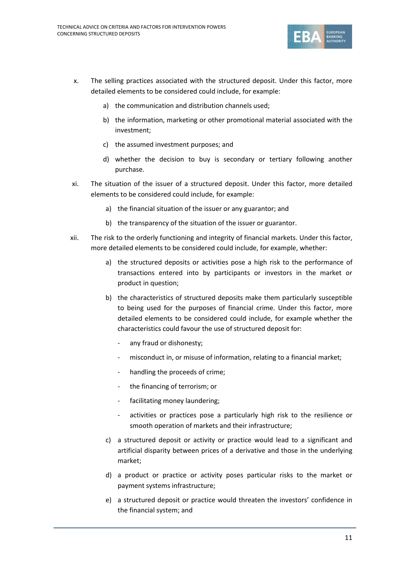

- x. The selling practices associated with the structured deposit. Under this factor, more detailed elements to be considered could include, for example:
	- a) the communication and distribution channels used;
	- b) the information, marketing or other promotional material associated with the investment;
	- c) the assumed investment purposes; and
	- d) whether the decision to buy is secondary or tertiary following another purchase.
- xi. The situation of the issuer of a structured deposit. Under this factor, more detailed elements to be considered could include, for example:
	- a) the financial situation of the issuer or any guarantor; and
	- b) the transparency of the situation of the issuer or guarantor.
- xii. The risk to the orderly functioning and integrity of financial markets. Under this factor, more detailed elements to be considered could include, for example, whether:
	- a) the structured deposits or activities pose a high risk to the performance of transactions entered into by participants or investors in the market or product in question;
	- b) the characteristics of structured deposits make them particularly susceptible to being used for the purposes of financial crime. Under this factor, more detailed elements to be considered could include, for example whether the characteristics could favour the use of structured deposit for:
		- any fraud or dishonesty;
		- misconduct in, or misuse of information, relating to a financial market;
		- handling the proceeds of crime;
		- the financing of terrorism; or
		- facilitating money laundering;
		- activities or practices pose a particularly high risk to the resilience or smooth operation of markets and their infrastructure;
	- c) a structured deposit or activity or practice would lead to a significant and artificial disparity between prices of a derivative and those in the underlying market;
	- d) a product or practice or activity poses particular risks to the market or payment systems infrastructure;
	- e) a structured deposit or practice would threaten the investors' confidence in the financial system; and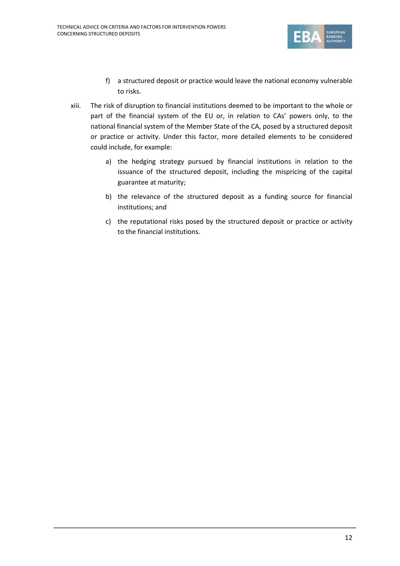

- f) a structured deposit or practice would leave the national economy vulnerable to risks.
- xiii. The risk of disruption to financial institutions deemed to be important to the whole or part of the financial system of the EU or, in relation to CAs' powers only, to the national financial system of the Member State of the CA, posed by a structured deposit or practice or activity. Under this factor, more detailed elements to be considered could include, for example:
	- a) the hedging strategy pursued by financial institutions in relation to the issuance of the structured deposit, including the mispricing of the capital guarantee at maturity;
	- b) the relevance of the structured deposit as a funding source for financial institutions; and
	- c) the reputational risks posed by the structured deposit or practice or activity to the financial institutions.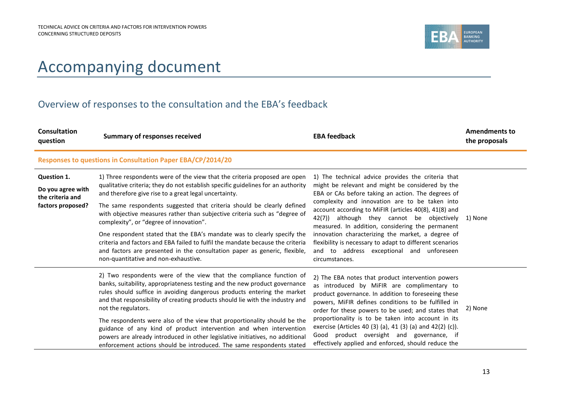

### Accompanying document

#### Overview of responses to the consultation and the EBA's feedback

| Consultation<br>question                                                  | <b>Summary of responses received</b>                                                                                                                                                                                                                                                                                                                                                                                                                                                                                                                                                                                                                                                                        | <b>EBA feedback</b>                                                                                                                                                                                                                                                                                                                                                                                                                                                                                                                                          | <b>Amendments to</b><br>the proposals |
|---------------------------------------------------------------------------|-------------------------------------------------------------------------------------------------------------------------------------------------------------------------------------------------------------------------------------------------------------------------------------------------------------------------------------------------------------------------------------------------------------------------------------------------------------------------------------------------------------------------------------------------------------------------------------------------------------------------------------------------------------------------------------------------------------|--------------------------------------------------------------------------------------------------------------------------------------------------------------------------------------------------------------------------------------------------------------------------------------------------------------------------------------------------------------------------------------------------------------------------------------------------------------------------------------------------------------------------------------------------------------|---------------------------------------|
|                                                                           | Responses to questions in Consultation Paper EBA/CP/2014/20                                                                                                                                                                                                                                                                                                                                                                                                                                                                                                                                                                                                                                                 |                                                                                                                                                                                                                                                                                                                                                                                                                                                                                                                                                              |                                       |
| Question 1.<br>Do you agree with<br>the criteria and<br>factors proposed? | 1) Three respondents were of the view that the criteria proposed are open<br>qualitative criteria; they do not establish specific guidelines for an authority<br>and therefore give rise to a great legal uncertainty.<br>The same respondents suggested that criteria should be clearly defined<br>with objective measures rather than subjective criteria such as "degree of<br>complexity", or "degree of innovation".<br>One respondent stated that the EBA's mandate was to clearly specify the<br>criteria and factors and EBA failed to fulfil the mandate because the criteria<br>and factors are presented in the consultation paper as generic, flexible,<br>non-quantitative and non-exhaustive. | 1) The technical advice provides the criteria that<br>might be relevant and might be considered by the<br>EBA or CAs before taking an action. The degrees of<br>complexity and innovation are to be taken into<br>account according to MiFIR (articles 40(8), 41(8) and<br>although they cannot be objectively<br>42(7))<br>measured. In addition, considering the permanent<br>innovation characterizing the market, a degree of<br>flexibility is necessary to adapt to different scenarios<br>and to address exceptional and unforeseen<br>circumstances. | 1) None                               |
|                                                                           | 2) Two respondents were of the view that the compliance function of<br>banks, suitability, appropriateness testing and the new product governance<br>rules should suffice in avoiding dangerous products entering the market<br>and that responsibility of creating products should lie with the industry and<br>not the regulators.<br>The respondents were also of the view that proportionality should be the<br>guidance of any kind of product intervention and when intervention<br>powers are already introduced in other legislative initiatives, no additional<br>enforcement actions should be introduced. The same respondents stated                                                            | 2) The EBA notes that product intervention powers<br>as introduced by MiFIR are complimentary to<br>product governance. In addition to foreseeing these<br>powers, MIFIR defines conditions to be fulfilled in<br>order for these powers to be used; and states that<br>proportionality is to be taken into account in its<br>exercise (Articles 40 (3) (a), 41 (3) (a) and 42(2) (c)).<br>Good product oversight and governance, if<br>effectively applied and enforced, should reduce the                                                                  | 2) None                               |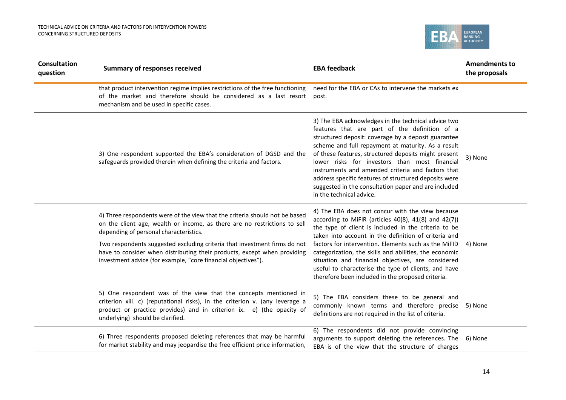

| <b>Consultation</b><br>question | <b>Summary of responses received</b>                                                                                                                                                                                                                                                                                                                                                                                         | <b>EBA feedback</b>                                                                                                                                                                                                                                                                                                                                                                                                                                                                                                          | <b>Amendments to</b><br>the proposals |
|---------------------------------|------------------------------------------------------------------------------------------------------------------------------------------------------------------------------------------------------------------------------------------------------------------------------------------------------------------------------------------------------------------------------------------------------------------------------|------------------------------------------------------------------------------------------------------------------------------------------------------------------------------------------------------------------------------------------------------------------------------------------------------------------------------------------------------------------------------------------------------------------------------------------------------------------------------------------------------------------------------|---------------------------------------|
|                                 | that product intervention regime implies restrictions of the free functioning<br>of the market and therefore should be considered as a last resort<br>mechanism and be used in specific cases.                                                                                                                                                                                                                               | need for the EBA or CAs to intervene the markets ex<br>post.                                                                                                                                                                                                                                                                                                                                                                                                                                                                 |                                       |
|                                 | 3) One respondent supported the EBA's consideration of DGSD and the<br>safeguards provided therein when defining the criteria and factors.                                                                                                                                                                                                                                                                                   | 3) The EBA acknowledges in the technical advice two<br>features that are part of the definition of a<br>structured deposit: coverage by a deposit guarantee<br>scheme and full repayment at maturity. As a result<br>of these features, structured deposits might present<br>lower risks for investors than most financial<br>instruments and amended criteria and factors that<br>address specific features of structured deposits were<br>suggested in the consultation paper and are included<br>in the technical advice. | 3) None                               |
|                                 | 4) Three respondents were of the view that the criteria should not be based<br>on the client age, wealth or income, as there are no restrictions to sell<br>depending of personal characteristics.<br>Two respondents suggested excluding criteria that investment firms do not<br>have to consider when distributing their products, except when providing<br>investment advice (for example, "core financial objectives"). | 4) The EBA does not concur with the view because<br>according to MiFIR (articles 40(8), 41(8) and 42(7))<br>the type of client is included in the criteria to be<br>taken into account in the definition of criteria and<br>factors for intervention. Elements such as the MIFID<br>categorization, the skills and abilities, the economic<br>situation and financial objectives, are considered<br>useful to characterise the type of clients, and have<br>therefore been included in the proposed criteria.                | 4) None                               |
|                                 | 5) One respondent was of the view that the concepts mentioned in<br>criterion xiii. c) (reputational risks), in the criterion v. (any leverage a<br>product or practice provides) and in criterion ix. e) (the opacity of<br>underlying) should be clarified.                                                                                                                                                                | 5) The EBA considers these to be general and<br>commonly known terms and therefore precise<br>definitions are not required in the list of criteria.                                                                                                                                                                                                                                                                                                                                                                          | 5) None                               |
|                                 | 6) Three respondents proposed deleting references that may be harmful<br>for market stability and may jeopardise the free efficient price information,                                                                                                                                                                                                                                                                       | 6) The respondents did not provide convincing<br>arguments to support deleting the references. The<br>EBA is of the view that the structure of charges                                                                                                                                                                                                                                                                                                                                                                       | 6) None                               |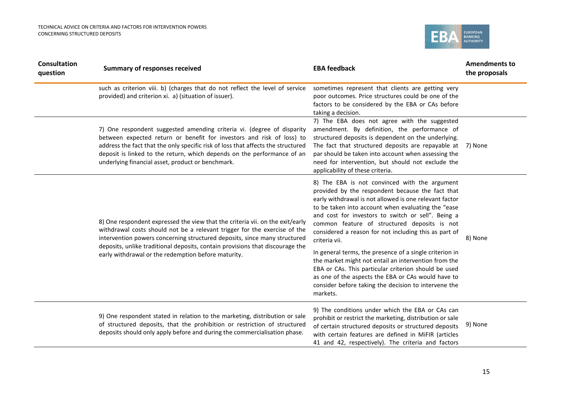

| <b>Consultation</b><br>question | <b>Summary of responses received</b>                                                                                                                                                                                                                                                                                                                                | <b>EBA feedback</b>                                                                                                                                                                                                                                                                                                                                                                               | <b>Amendments to</b><br>the proposals |
|---------------------------------|---------------------------------------------------------------------------------------------------------------------------------------------------------------------------------------------------------------------------------------------------------------------------------------------------------------------------------------------------------------------|---------------------------------------------------------------------------------------------------------------------------------------------------------------------------------------------------------------------------------------------------------------------------------------------------------------------------------------------------------------------------------------------------|---------------------------------------|
|                                 | such as criterion viii. b) (charges that do not reflect the level of service<br>provided) and criterion xi. a) (situation of issuer).                                                                                                                                                                                                                               | sometimes represent that clients are getting very<br>poor outcomes. Price structures could be one of the<br>factors to be considered by the EBA or CAs before<br>taking a decision.                                                                                                                                                                                                               |                                       |
|                                 | 7) One respondent suggested amending criteria vi. (degree of disparity<br>between expected return or benefit for investors and risk of loss) to<br>address the fact that the only specific risk of loss that affects the structured<br>deposit is linked to the return, which depends on the performance of an<br>underlying financial asset, product or benchmark. | 7) The EBA does not agree with the suggested<br>amendment. By definition, the performance of<br>structured deposits is dependent on the underlying.<br>The fact that structured deposits are repayable at 7) None<br>par should be taken into account when assessing the<br>need for intervention, but should not exclude the<br>applicability of these criteria.                                 |                                       |
|                                 | 8) One respondent expressed the view that the criteria vii. on the exit/early<br>withdrawal costs should not be a relevant trigger for the exercise of the<br>intervention powers concerning structured deposits, since many structured                                                                                                                             | 8) The EBA is not convinced with the argument<br>provided by the respondent because the fact that<br>early withdrawal is not allowed is one relevant factor<br>to be taken into account when evaluating the "ease<br>and cost for investors to switch or sell". Being a<br>common feature of structured deposits is not<br>considered a reason for not including this as part of<br>criteria vii. | 8) None                               |
|                                 | deposits, unlike traditional deposits, contain provisions that discourage the<br>early withdrawal or the redemption before maturity.                                                                                                                                                                                                                                | In general terms, the presence of a single criterion in<br>the market might not entail an intervention from the<br>EBA or CAs. This particular criterion should be used<br>as one of the aspects the EBA or CAs would have to<br>consider before taking the decision to intervene the<br>markets.                                                                                                 |                                       |
|                                 | 9) One respondent stated in relation to the marketing, distribution or sale<br>of structured deposits, that the prohibition or restriction of structured<br>deposits should only apply before and during the commercialisation phase.                                                                                                                               | 9) The conditions under which the EBA or CAs can<br>prohibit or restrict the marketing, distribution or sale<br>of certain structured deposits or structured deposits<br>with certain features are defined in MiFIR (articles<br>41 and 42, respectively). The criteria and factors                                                                                                               | 9) None                               |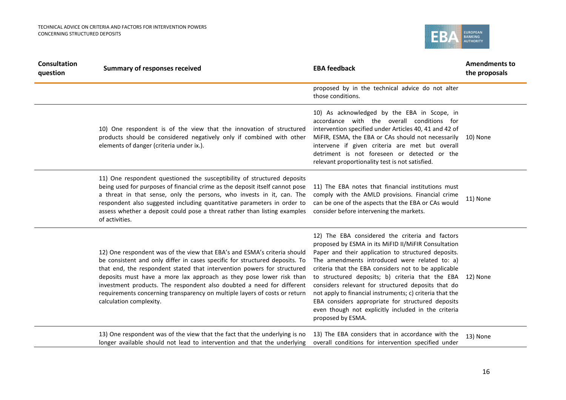

| <b>Consultation</b><br>question | <b>Summary of responses received</b>                                                                                                                                                                                                                                                                                                                                                                                                                                                        | <b>EBA feedback</b>                                                                                                                                                                                                                                                                                                                                                                                                                                                                                                                                                                    | <b>Amendments to</b><br>the proposals |
|---------------------------------|---------------------------------------------------------------------------------------------------------------------------------------------------------------------------------------------------------------------------------------------------------------------------------------------------------------------------------------------------------------------------------------------------------------------------------------------------------------------------------------------|----------------------------------------------------------------------------------------------------------------------------------------------------------------------------------------------------------------------------------------------------------------------------------------------------------------------------------------------------------------------------------------------------------------------------------------------------------------------------------------------------------------------------------------------------------------------------------------|---------------------------------------|
|                                 |                                                                                                                                                                                                                                                                                                                                                                                                                                                                                             | proposed by in the technical advice do not alter<br>those conditions.                                                                                                                                                                                                                                                                                                                                                                                                                                                                                                                  |                                       |
|                                 | 10) One respondent is of the view that the innovation of structured<br>products should be considered negatively only if combined with other<br>elements of danger (criteria under ix.).                                                                                                                                                                                                                                                                                                     | 10) As acknowledged by the EBA in Scope, in<br>accordance with the overall conditions for<br>intervention specified under Articles 40, 41 and 42 of<br>MIFIR, ESMA, the EBA or CAs should not necessarily<br>intervene if given criteria are met but overall<br>detriment is not foreseen or detected or the<br>relevant proportionality test is not satisfied.                                                                                                                                                                                                                        | 10) None                              |
|                                 | 11) One respondent questioned the susceptibility of structured deposits<br>being used for purposes of financial crime as the deposit itself cannot pose<br>a threat in that sense, only the persons, who invests in it, can. The<br>respondent also suggested including quantitative parameters in order to<br>assess whether a deposit could pose a threat rather than listing examples<br>of activities.                                                                                  | 11) The EBA notes that financial institutions must<br>comply with the AMLD provisions. Financial crime<br>can be one of the aspects that the EBA or CAs would<br>consider before intervening the markets.                                                                                                                                                                                                                                                                                                                                                                              | 11) None                              |
|                                 | 12) One respondent was of the view that EBA's and ESMA's criteria should<br>be consistent and only differ in cases specific for structured deposits. To<br>that end, the respondent stated that intervention powers for structured<br>deposits must have a more lax approach as they pose lower risk than<br>investment products. The respondent also doubted a need for different<br>requirements concerning transparency on multiple layers of costs or return<br>calculation complexity. | 12) The EBA considered the criteria and factors<br>proposed by ESMA in its MiFID II/MiFIR Consultation<br>Paper and their application to structured deposits.<br>The amendments introduced were related to: a)<br>criteria that the EBA considers not to be applicable<br>to structured deposits; b) criteria that the EBA 12) None<br>considers relevant for structured deposits that do<br>not apply to financial instruments; c) criteria that the<br>EBA considers appropriate for structured deposits<br>even though not explicitly included in the criteria<br>proposed by ESMA. |                                       |
|                                 | 13) One respondent was of the view that the fact that the underlying is no<br>longer available should not lead to intervention and that the underlying                                                                                                                                                                                                                                                                                                                                      | 13) The EBA considers that in accordance with the<br>overall conditions for intervention specified under                                                                                                                                                                                                                                                                                                                                                                                                                                                                               | 13) None                              |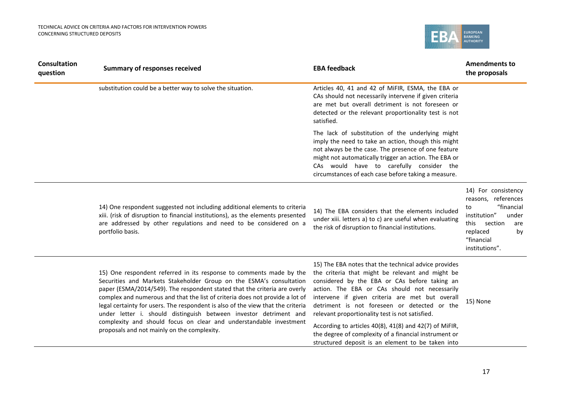

| <b>Consultation</b><br>question | <b>Summary of responses received</b>                                                                                                                                                                                                                                                                                                                                                                                                                            | <b>EBA feedback</b>                                                                                                                                                                                                                                                                                                                                              | <b>Amendments to</b><br>the proposals                                                                                                                               |
|---------------------------------|-----------------------------------------------------------------------------------------------------------------------------------------------------------------------------------------------------------------------------------------------------------------------------------------------------------------------------------------------------------------------------------------------------------------------------------------------------------------|------------------------------------------------------------------------------------------------------------------------------------------------------------------------------------------------------------------------------------------------------------------------------------------------------------------------------------------------------------------|---------------------------------------------------------------------------------------------------------------------------------------------------------------------|
|                                 | substitution could be a better way to solve the situation.                                                                                                                                                                                                                                                                                                                                                                                                      | Articles 40, 41 and 42 of MiFIR, ESMA, the EBA or<br>CAs should not necessarily intervene if given criteria<br>are met but overall detriment is not foreseen or<br>detected or the relevant proportionality test is not<br>satisfied.                                                                                                                            |                                                                                                                                                                     |
|                                 |                                                                                                                                                                                                                                                                                                                                                                                                                                                                 | The lack of substitution of the underlying might<br>imply the need to take an action, though this might<br>not always be the case. The presence of one feature<br>might not automatically trigger an action. The EBA or<br>CAs would have to carefully consider the<br>circumstances of each case before taking a measure.                                       |                                                                                                                                                                     |
|                                 | 14) One respondent suggested not including additional elements to criteria<br>xiii. (risk of disruption to financial institutions), as the elements presented<br>are addressed by other regulations and need to be considered on a<br>portfolio basis.                                                                                                                                                                                                          | 14) The EBA considers that the elements included<br>under xiii. letters a) to c) are useful when evaluating<br>the risk of disruption to financial institutions.                                                                                                                                                                                                 | 14) For consistency<br>reasons, references<br>"financial<br>to<br>institution"<br>under<br>section<br>this<br>are<br>replaced<br>by<br>"financial<br>institutions". |
|                                 | 15) One respondent referred in its response to comments made by the<br>Securities and Markets Stakeholder Group on the ESMA's consultation<br>paper (ESMA/2014/549). The respondent stated that the criteria are overly<br>complex and numerous and that the list of criteria does not provide a lot of<br>legal certainty for users. The respondent is also of the view that the criteria<br>under letter i. should distinguish between investor detriment and | 15) The EBA notes that the technical advice provides<br>the criteria that might be relevant and might be<br>considered by the EBA or CAs before taking an<br>action. The EBA or CAs should not necessarily<br>intervene if given criteria are met but overall<br>detriment is not foreseen or detected or the<br>relevant proportionality test is not satisfied. | 15) None                                                                                                                                                            |
|                                 | complexity and should focus on clear and understandable investment<br>proposals and not mainly on the complexity.                                                                                                                                                                                                                                                                                                                                               | According to articles 40(8), 41(8) and 42(7) of MiFIR,<br>the degree of complexity of a financial instrument or<br>structured deposit is an element to be taken into                                                                                                                                                                                             |                                                                                                                                                                     |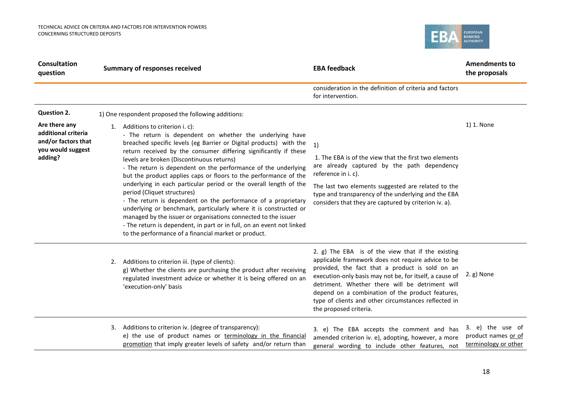

| <b>Consultation</b><br>question                                                             | <b>Summary of responses received</b>                                                                                                                                                                                                                                                                                                                                                                                                                                                                                                                                                                                                                                                                                                                                                                                                                                  | <b>EBA feedback</b>                                                                                                                                                                                                                                                                                                                                                                                            | <b>Amendments to</b><br>the proposals                           |
|---------------------------------------------------------------------------------------------|-----------------------------------------------------------------------------------------------------------------------------------------------------------------------------------------------------------------------------------------------------------------------------------------------------------------------------------------------------------------------------------------------------------------------------------------------------------------------------------------------------------------------------------------------------------------------------------------------------------------------------------------------------------------------------------------------------------------------------------------------------------------------------------------------------------------------------------------------------------------------|----------------------------------------------------------------------------------------------------------------------------------------------------------------------------------------------------------------------------------------------------------------------------------------------------------------------------------------------------------------------------------------------------------------|-----------------------------------------------------------------|
|                                                                                             |                                                                                                                                                                                                                                                                                                                                                                                                                                                                                                                                                                                                                                                                                                                                                                                                                                                                       | consideration in the definition of criteria and factors<br>for intervention.                                                                                                                                                                                                                                                                                                                                   |                                                                 |
| <b>Question 2.</b>                                                                          | 1) One respondent proposed the following additions:                                                                                                                                                                                                                                                                                                                                                                                                                                                                                                                                                                                                                                                                                                                                                                                                                   |                                                                                                                                                                                                                                                                                                                                                                                                                |                                                                 |
| Are there any<br>additional criteria<br>and/or factors that<br>you would suggest<br>adding? | 1. Additions to criterion i. c):<br>- The return is dependent on whether the underlying have<br>breached specific levels (eg Barrier or Digital products) with the<br>return received by the consumer differing significantly if these<br>levels are broken (Discontinuous returns)<br>- The return is dependent on the performance of the underlying<br>but the product applies caps or floors to the performance of the<br>underlying in each particular period or the overall length of the<br>period (Cliquet structures)<br>- The return is dependent on the performance of a proprietary<br>underlying or benchmark, particularly where it is constructed or<br>managed by the issuer or organisations connected to the issuer<br>- The return is dependent, in part or in full, on an event not linked<br>to the performance of a financial market or product. | 1)<br>1. The EBA is of the view that the first two elements<br>are already captured by the path dependency<br>reference in i. c).<br>The last two elements suggested are related to the<br>type and transparency of the underlying and the EBA<br>considers that they are captured by criterion iv. a).                                                                                                        | 1) 1. None                                                      |
|                                                                                             | Additions to criterion iii. (type of clients):<br>2.<br>g) Whether the clients are purchasing the product after receiving<br>regulated investment advice or whether it is being offered on an<br>'execution-only' basis                                                                                                                                                                                                                                                                                                                                                                                                                                                                                                                                                                                                                                               | 2. g) The EBA is of the view that if the existing<br>applicable framework does not require advice to be<br>provided, the fact that a product is sold on an<br>execution-only basis may not be, for itself, a cause of<br>detriment. Whether there will be detriment will<br>depend on a combination of the product features,<br>type of clients and other circumstances reflected in<br>the proposed criteria. | 2.g) None                                                       |
|                                                                                             | Additions to criterion iv. (degree of transparency):<br>3.<br>e) the use of product names or terminology in the financial<br>promotion that imply greater levels of safety and/or return than                                                                                                                                                                                                                                                                                                                                                                                                                                                                                                                                                                                                                                                                         | 3. e) The EBA accepts the comment and has<br>amended criterion iv. e), adopting, however, a more<br>general wording to include other features, not                                                                                                                                                                                                                                                             | 3. e) the use of<br>product names or of<br>terminology or other |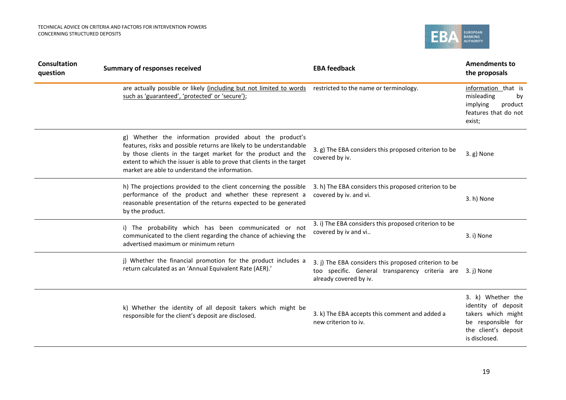

| <b>Consultation</b><br>question | <b>Summary of responses received</b>                                                                                                                                                                                                                                                                                         | <b>EBA feedback</b>                                                                                                                | <b>Amendments to</b><br>the proposals                                                                                         |
|---------------------------------|------------------------------------------------------------------------------------------------------------------------------------------------------------------------------------------------------------------------------------------------------------------------------------------------------------------------------|------------------------------------------------------------------------------------------------------------------------------------|-------------------------------------------------------------------------------------------------------------------------------|
|                                 | are actually possible or likely (including but not limited to words<br>such as 'guaranteed', 'protected' or 'secure');                                                                                                                                                                                                       | restricted to the name or terminology.                                                                                             | information that is<br>misleading<br>by<br>implying<br>product<br>features that do not<br>exist;                              |
|                                 | g) Whether the information provided about the product's<br>features, risks and possible returns are likely to be understandable<br>by those clients in the target market for the product and the<br>extent to which the issuer is able to prove that clients in the target<br>market are able to understand the information. | 3. g) The EBA considers this proposed criterion to be<br>covered by iv.                                                            | 3.g) None                                                                                                                     |
|                                 | h) The projections provided to the client concerning the possible<br>performance of the product and whether these represent a<br>reasonable presentation of the returns expected to be generated<br>by the product.                                                                                                          | 3. h) The EBA considers this proposed criterion to be<br>covered by iv. and vi.                                                    | 3. h) None                                                                                                                    |
|                                 | i) The probability which has been communicated or not<br>communicated to the client regarding the chance of achieving the<br>advertised maximum or minimum return                                                                                                                                                            | 3. i) The EBA considers this proposed criterion to be<br>covered by iv and vi                                                      | 3. i) None                                                                                                                    |
|                                 | j) Whether the financial promotion for the product includes a<br>return calculated as an 'Annual Equivalent Rate (AER).'                                                                                                                                                                                                     | 3. j) The EBA considers this proposed criterion to be<br>too specific. General transparency criteria are<br>already covered by iv. | 3. j) None                                                                                                                    |
|                                 | k) Whether the identity of all deposit takers which might be<br>responsible for the client's deposit are disclosed.                                                                                                                                                                                                          | 3. k) The EBA accepts this comment and added a<br>new criterion to iv.                                                             | 3. k) Whether the<br>identity of deposit<br>takers which might<br>be responsible for<br>the client's deposit<br>is disclosed. |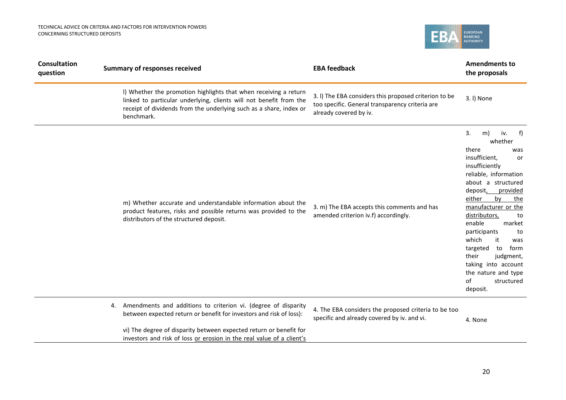

| <b>Consultation</b><br>question |    | <b>Summary of responses received</b>                                                                                                                                                                                       | <b>EBA feedback</b>                                                                                                                | <b>Amendments to</b><br>the proposals                                                                                                                                                                                                                                                                                                                                                                                            |
|---------------------------------|----|----------------------------------------------------------------------------------------------------------------------------------------------------------------------------------------------------------------------------|------------------------------------------------------------------------------------------------------------------------------------|----------------------------------------------------------------------------------------------------------------------------------------------------------------------------------------------------------------------------------------------------------------------------------------------------------------------------------------------------------------------------------------------------------------------------------|
|                                 |    | I) Whether the promotion highlights that when receiving a return<br>linked to particular underlying, clients will not benefit from the<br>receipt of dividends from the underlying such as a share, index or<br>benchmark. | 3. I) The EBA considers this proposed criterion to be<br>too specific. General transparency criteria are<br>already covered by iv. | 3. I) None                                                                                                                                                                                                                                                                                                                                                                                                                       |
|                                 |    | m) Whether accurate and understandable information about the<br>product features, risks and possible returns was provided to the<br>distributors of the structured deposit.                                                | 3. m) The EBA accepts this comments and has<br>amended criterion iv.f) accordingly.                                                | 3.<br>m)<br>iv.<br>f)<br>whether<br>there<br>was<br>insufficient,<br>or<br>insufficiently<br>reliable, information<br>about a structured<br>deposit, provided<br>by<br>either<br>the<br>manufacturer or the<br>distributors,<br>to<br>enable<br>market<br>participants<br>to<br>which<br>it<br>was<br>targeted<br>to<br>form<br>their<br>judgment,<br>taking into account<br>the nature and type<br>of<br>structured<br>deposit. |
|                                 | 4. | Amendments and additions to criterion vi. (degree of disparity<br>between expected return or benefit for investors and risk of loss):                                                                                      | 4. The EBA considers the proposed criteria to be too<br>specific and already covered by iv. and vi.                                | 4. None                                                                                                                                                                                                                                                                                                                                                                                                                          |
|                                 |    | vi) The degree of disparity between expected return or benefit for<br>investors and risk of loss or erosion in the real value of a client's                                                                                |                                                                                                                                    |                                                                                                                                                                                                                                                                                                                                                                                                                                  |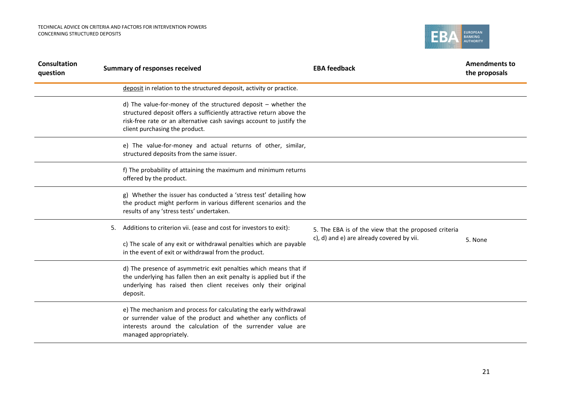

| <b>Consultation</b><br>question |    | <b>Summary of responses received</b>                                                                                                                                                                                                               | <b>EBA feedback</b>                                  | <b>Amendments to</b><br>the proposals |
|---------------------------------|----|----------------------------------------------------------------------------------------------------------------------------------------------------------------------------------------------------------------------------------------------------|------------------------------------------------------|---------------------------------------|
|                                 |    | deposit in relation to the structured deposit, activity or practice.                                                                                                                                                                               |                                                      |                                       |
|                                 |    | d) The value-for-money of the structured deposit $-$ whether the<br>structured deposit offers a sufficiently attractive return above the<br>risk-free rate or an alternative cash savings account to justify the<br>client purchasing the product. |                                                      |                                       |
|                                 |    | e) The value-for-money and actual returns of other, similar,<br>structured deposits from the same issuer.                                                                                                                                          |                                                      |                                       |
|                                 |    | f) The probability of attaining the maximum and minimum returns<br>offered by the product.                                                                                                                                                         |                                                      |                                       |
|                                 |    | g) Whether the issuer has conducted a 'stress test' detailing how<br>the product might perform in various different scenarios and the<br>results of any 'stress tests' undertaken.                                                                 |                                                      |                                       |
|                                 | 5. | Additions to criterion vii. (ease and cost for investors to exit):                                                                                                                                                                                 | 5. The EBA is of the view that the proposed criteria |                                       |
|                                 |    | c) The scale of any exit or withdrawal penalties which are payable<br>in the event of exit or withdrawal from the product.                                                                                                                         | c), d) and e) are already covered by vii.            | 5. None                               |
|                                 |    | d) The presence of asymmetric exit penalties which means that if<br>the underlying has fallen then an exit penalty is applied but if the<br>underlying has raised then client receives only their original<br>deposit.                             |                                                      |                                       |
|                                 |    | e) The mechanism and process for calculating the early withdrawal<br>or surrender value of the product and whether any conflicts of<br>interests around the calculation of the surrender value are<br>managed appropriately.                       |                                                      |                                       |
|                                 |    |                                                                                                                                                                                                                                                    |                                                      |                                       |